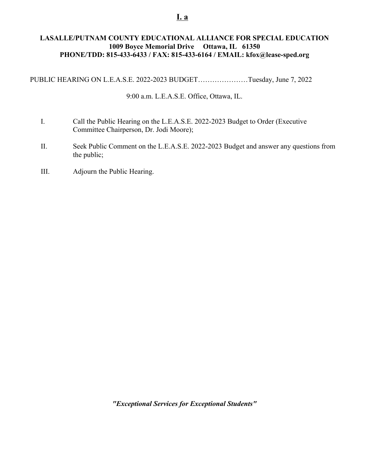## **LASALLE/PUTNAM COUNTY EDUCATIONAL ALLIANCE FOR SPECIAL EDUCATION 1009 Boyce Memorial Drive Ottawa, IL 61350 PHONE/TDD: 815-433-6433 / FAX: 815-433-6164 / EMAIL: kfox@lease-sped.org**

PUBLIC HEARING ON L.E.A.S.E. 2022-2023 BUDGET…………………Tuesday, June 7, 2022

9:00 a.m. L.E.A.S.E. Office, Ottawa, IL.

- I. Call the Public Hearing on the L.E.A.S.E. 2022-2023 Budget to Order (Executive Committee Chairperson, Dr. Jodi Moore);
- II. Seek Public Comment on the L.E.A.S.E. 2022-2023 Budget and answer any questions from the public;
- III. Adjourn the Public Hearing.

*"Exceptional Services for Exceptional Students"*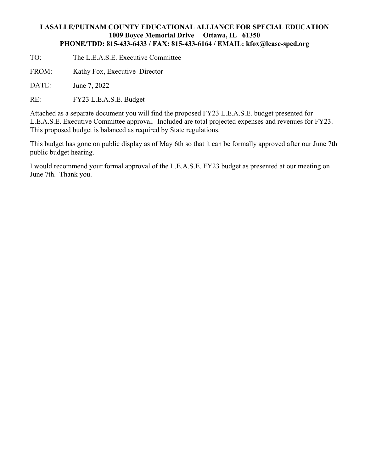## **LASALLE/PUTNAM COUNTY EDUCATIONAL ALLIANCE FOR SPECIAL EDUCATION 1009 Boyce Memorial Drive Ottawa, IL 61350 PHONE/TDD: 815-433-6433 / FAX: 815-433-6164 / EMAIL: kfox@lease-sped.org**

- TO: The L.E.A.S.E. Executive Committee
- FROM: Kathy Fox, Executive Director
- DATE: June 7, 2022
- RE: FY23 L.E.A.S.E. Budget

Attached as a separate document you will find the proposed FY23 L.E.A.S.E. budget presented for L.E.A.S.E. Executive Committee approval. Included are total projected expenses and revenues for FY23. This proposed budget is balanced as required by State regulations.

This budget has gone on public display as of May 6th so that it can be formally approved after our June 7th public budget hearing.

I would recommend your formal approval of the L.E.A.S.E. FY23 budget as presented at our meeting on June 7th. Thank you.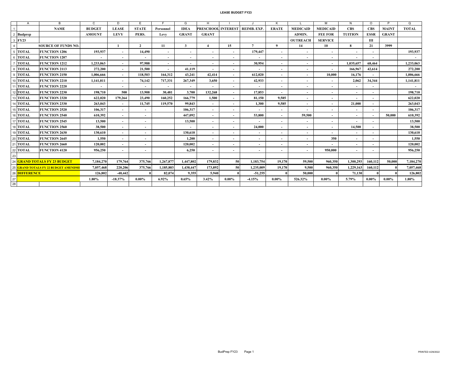#### **LEASE BUDGET FY23**

|                  | $\overline{A}$                       | R                            | $\mathsf{C}$             | D.                       | F                        |                          | G                        | н                        |                          |                          | к                        |                          | M                        | N                        | $\Omega$                 | P            | $\Omega$     |
|------------------|--------------------------------------|------------------------------|--------------------------|--------------------------|--------------------------|--------------------------|--------------------------|--------------------------|--------------------------|--------------------------|--------------------------|--------------------------|--------------------------|--------------------------|--------------------------|--------------|--------------|
|                  |                                      | <b>NAME</b>                  | <b>BUDGET</b>            | <b>LEASE</b>             | <b>STATE</b>             | Personnel                | <b>IDEA</b>              | PRESCHOOL INTEREST       |                          | <b>REIMB. EXP.</b>       | <b>ERATE</b>             | <b>MEDICAID</b>          | <b>MEDICAID</b>          | <b>CBS</b>               | <b>CBS</b>               | <b>MAINT</b> | <b>TOTAL</b> |
| $\overline{2}$   | <b>Budprep</b>                       |                              | <b>AMOUNT</b>            | <b>LEVY</b>              | PERS.                    | Levy                     | <b>GRANT</b>             | <b>GRANT</b>             |                          |                          |                          | <b>ADMIN.</b>            | <b>FEE FOR</b>           | <b>TUITION</b>           | <b>ESSR</b>              | <b>GRANT</b> |              |
|                  | 3 FY23                               |                              |                          |                          |                          |                          |                          |                          |                          |                          |                          | <b>OUTREACH</b>          | <b>SERVICE</b>           |                          | Ш                        |              |              |
| $\overline{a}$   |                                      | <b>SOURCE OF FUNDS NO.</b>   |                          |                          | $\mathcal{L}$            | 11                       | 3                        | $\boldsymbol{4}$         | 15                       | $\overline{7}$           | 9                        | 14                       | 10                       | $\mathbf{R}$             | 21                       | 3999         |              |
| 5                | <b>TOTAL</b>                         | <b>FUNCTION 1206</b>         | 193,937                  | $\overline{\phantom{a}}$ | 14,490                   |                          | $\overline{\phantom{a}}$ |                          | $\overline{\phantom{a}}$ | 179,447                  | $\overline{\phantom{a}}$ |                          | $\overline{\phantom{a}}$ | $\overline{\phantom{a}}$ |                          |              | 193,937      |
|                  | <b>TOTAL</b>                         | <b>FUNCTION 1207</b>         | $\overline{\phantom{a}}$ | $\overline{\phantom{a}}$ | $\overline{\phantom{a}}$ |                          | $\overline{\phantom{a}}$ | $\overline{\phantom{a}}$ | $\overline{\phantom{a}}$ | $\overline{\phantom{a}}$ | $\overline{\phantom{0}}$ | $\overline{\phantom{0}}$ | $\overline{\phantom{a}}$ |                          |                          |              | $\sim$       |
|                  | <b>TOTAL</b>                         | <b>FUNCTION 1212</b>         | 1,233,063                | $\overline{\phantom{a}}$ | 97,988                   | $\overline{\phantom{0}}$ | $\overline{\phantom{a}}$ | $\overline{\phantom{a}}$ | $\overline{\phantom{a}}$ | 30,954                   | $\sim$                   | $\overline{\phantom{0}}$ | $\overline{\phantom{a}}$ | 1,035,657                | 68,464                   |              | 1,233,063    |
| 8                | <b>TOTAL</b>                         | <b>FUNCTION 2113</b>         | 272,200                  | $\overline{\phantom{a}}$ | 21.500                   |                          | 41.119                   | $\overline{\phantom{a}}$ | $\overline{\phantom{a}}$ | $\overline{\phantom{a}}$ | $\overline{\phantom{0}}$ | $\overline{\phantom{a}}$ | $\overline{\phantom{a}}$ | 166,967                  | 42,614                   |              | 272,200      |
| $\mathbf{Q}$     | <b>TOTAL</b>                         | <b>FUNCTION 2150</b>         | 1,006,666                | $\overline{\phantom{a}}$ | 118,503                  | 164,312                  | 43,241                   | 42,414                   | $\overline{\phantom{a}}$ | 612.020                  | $\overline{\phantom{0}}$ |                          | 10,000                   | 16,176                   |                          |              | 1,006,666    |
| 10 <sup>10</sup> | <b>TOTAL</b>                         | <b>FUNCTION 2210</b>         | 1,141,811                | $\sim$                   | 74,142                   | 717,331                  | 267,349                  | 3,650                    | $\overline{\phantom{a}}$ | 42,933                   | $\overline{\phantom{a}}$ | $\overline{\phantom{0}}$ | $\sim$                   | 2,062                    | 34,344                   |              | 1,141,811    |
| 11               | <b>TOTAL</b>                         | <b>FUNCTION 2220</b>         | $\overline{\phantom{a}}$ | $\overline{\phantom{a}}$ | $\overline{\phantom{a}}$ |                          | $\overline{\phantom{a}}$ | $\overline{\phantom{a}}$ | $\overline{\phantom{a}}$ | $\overline{\phantom{a}}$ | $\overline{\phantom{a}}$ | $\overline{\phantom{0}}$ | $\overline{\phantom{a}}$ | $\overline{\phantom{a}}$ | $\overline{\phantom{a}}$ |              | $\sim$       |
|                  | 12 TOTAL                             | <b>FUNCTION 2230</b>         | 198,710                  | 500                      | 13.908                   | 30,481                   | 3,700                    | 132,268                  | $\overline{\phantom{a}}$ | 17,853                   | $\overline{\phantom{0}}$ | $\overline{\phantom{0}}$ | $\overline{a}$           | $\overline{\phantom{0}}$ | $\overline{\phantom{0}}$ |              | 198,710      |
|                  | 13 TOTAL                             | <b>FUNCTION 2320</b>         | 622,020                  | 179.264                  | 23,490                   | 160,252                  | 166,779                  | 1.500                    | $\overline{\phantom{a}}$ | 81.150                   | 9.585                    |                          | $\overline{\phantom{a}}$ |                          |                          |              | 622,020      |
|                  | 14 TOTAL                             | <b>FUNCTION 2330</b>         | 263,043                  | $\overline{\phantom{a}}$ | 11,745                   | 119.570                  | 99.843                   | $\overline{\phantom{a}}$ | $\overline{\phantom{a}}$ | 1,300                    | 9.585                    | $\overline{\phantom{0}}$ | $\overline{\phantom{a}}$ | 21,000                   |                          |              | 263,043      |
|                  | 15 TOTAL                             | <b>FUNCTION 2520</b>         | 106.317                  | $\overline{\phantom{a}}$ | $\overline{\phantom{a}}$ |                          | 106.317                  | $\overline{\phantom{a}}$ | $\overline{\phantom{a}}$ | $\overline{\phantom{a}}$ | $\sim$                   |                          | $\overline{\phantom{a}}$ | $\overline{\phantom{a}}$ | $\overline{\phantom{a}}$ |              | 106,317      |
|                  | 16 TOTAL                             | <b>FUNCTION 2540</b>         | 610.392                  | $\overline{\phantom{a}}$ | $\overline{\phantom{a}}$ |                          | 447.092                  | $\overline{\phantom{a}}$ | $\overline{\phantom{a}}$ | 53,800                   | $\overline{\phantom{0}}$ | 59,500                   | $\overline{\phantom{a}}$ | $\overline{\phantom{a}}$ | $\overline{\phantom{a}}$ | 50.000       | 610,392      |
|                  | 17 TOTAL                             | <b>FUNCTION 2545</b>         | 13,500                   | $\overline{\phantom{a}}$ | $\overline{\phantom{a}}$ |                          | 13,500                   | $\overline{\phantom{a}}$ | $\overline{\phantom{a}}$ | $\overline{\phantom{0}}$ | $\overline{\phantom{0}}$ |                          | $\overline{\phantom{a}}$ |                          | $\overline{\phantom{a}}$ |              | 13,500       |
|                  | 18 TOTAL                             | <b>FUNCTION 2560</b>         | 38,500                   | $\sim$                   | $\overline{\phantom{a}}$ |                          | $\overline{\phantom{a}}$ | $\overline{\phantom{a}}$ | $\overline{\phantom{a}}$ | 24,000                   | $\overline{\phantom{0}}$ | $\overline{\phantom{0}}$ | $\sim$                   | 14,500                   | $\overline{\phantom{0}}$ |              | 38,500       |
|                  | 19 TOTAL                             | <b>FUNCTION 2630</b>         | 130.610                  | $\overline{\phantom{a}}$ | $\overline{\phantom{a}}$ |                          | 130,610                  | $\overline{\phantom{a}}$ | $\overline{\phantom{a}}$ | $\overline{\phantom{a}}$ | $\overline{\phantom{a}}$ | $\overline{\phantom{0}}$ | $\overline{\phantom{a}}$ | $\overline{\phantom{a}}$ | $\overline{\phantom{a}}$ |              | 130,610      |
|                  | 20 TOTAL                             | <b>FUNCTION 2645</b>         | 1,550                    | $\overline{\phantom{a}}$ | $\overline{\phantom{a}}$ |                          | 1,200                    | $\overline{\phantom{a}}$ | $\overline{\phantom{a}}$ | $\overline{\phantom{a}}$ | $\overline{\phantom{a}}$ | $\overline{\phantom{0}}$ | 350                      | $\overline{\phantom{a}}$ | $\overline{\phantom{a}}$ |              | 1,550        |
|                  | 21 TOTAL                             | <b>FUNCTION 2660</b>         | 120.002                  | $\overline{\phantom{a}}$ | $\overline{\phantom{a}}$ |                          | 120.002                  | $\overline{\phantom{a}}$ | $\overline{\phantom{a}}$ |                          | $\overline{\phantom{a}}$ |                          |                          | $\overline{\phantom{a}}$ |                          |              | 120,002      |
|                  | 22 TOTAL                             | <b>FUNCTION 4120</b>         | 956.250                  | $\overline{\phantom{a}}$ | $\overline{\phantom{a}}$ |                          | 6,250                    | $\overline{\phantom{a}}$ | $\overline{\phantom{a}}$ | $\overline{\phantom{a}}$ | $\overline{\phantom{a}}$ | $\overline{\phantom{0}}$ | 950,000                  | $\overline{\phantom{a}}$ | $\overline{\phantom{a}}$ |              | 956,250      |
| 23               |                                      |                              |                          |                          |                          |                          |                          |                          |                          |                          |                          |                          |                          |                          |                          |              |              |
|                  |                                      | 24 GRAND TOTALS FY 23 BUDGET | 7,184,270                | 179,764                  | 375,766                  | 1,267,877                | 1.447.802                | 179,832                  | 50                       | 1.183.754                | 19.170                   | 59,500                   | 960.350                  | 1.300.293                | 160,112                  | 50,000       | 7,184,270    |
|                  | 25 GRAND TOTALS FY 22 BUDGET AMENDME |                              | 7.057.468                | 220,206                  | 375,766                  | 1.185.803                | 1,438,447                | 173,892                  | 50                       | 1,235,009                | 19.170                   | 9.500                    | 960.350                  | 1,229,163                | 160.112                  |              | 7,057,468    |
|                  | 26 DIFFERENCE                        |                              | 126,802                  | $-40,442$                |                          | 82.074                   | 9.355                    | 5,940                    |                          | $-51,255$                |                          | 50.000                   |                          | 71,130                   | $\mathbf{0}$             |              | 126,802      |
| 27               |                                      |                              | 1.80%                    | $-18.37%$                | $0.00\%$                 | 6.92%                    | 0.65%                    | 3.42%                    | $0.00\%$                 | $-4.15%$                 | $0.00\%$                 | 526.32%                  | $0.00\%$                 | 5.79%                    | $0.00\%$                 | $0.00\%$     | 1.80%        |
| ${\bf 28}$       |                                      |                              |                          |                          |                          |                          |                          |                          |                          |                          |                          |                          |                          |                          |                          |              |              |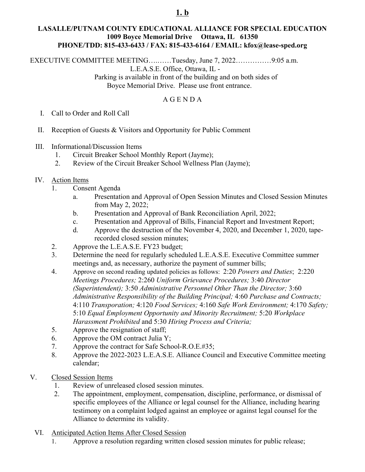# **1. b**

## **LASALLE/PUTNAM COUNTY EDUCATIONAL ALLIANCE FOR SPECIAL EDUCATION 1009 Boyce Memorial Drive Ottawa, IL 61350 PHONE/TDD: 815-433-6433 / FAX: 815-433-6164 / EMAIL: kfox@lease-sped.org**

EXECUTIVE COMMITTEE MEETING….……Tuesday, June 7, 2022……………9:05 a.m. L.E.A.S.E. Office, Ottawa, IL - Parking is available in front of the building and on both sides of

Boyce Memorial Drive. Please use front entrance.

## A G E N D A

- I. Call to Order and Roll Call
- II. Reception of Guests & Visitors and Opportunity for Public Comment
- III. Informational/Discussion Items
	- 1. Circuit Breaker School Monthly Report (Jayme);
	- 2. Review of the Circuit Breaker School Wellness Plan (Jayme);
- IV. Action Items
	- 1. Consent Agenda
		- a. Presentation and Approval of Open Session Minutes and Closed Session Minutes from May 2, 2022;
		- b. Presentation and Approval of Bank Reconciliation April, 2022;
		- c. Presentation and Approval of Bills, Financial Report and Investment Report;
		- d. Approve the destruction of the November 4, 2020, and December 1, 2020, taperecorded closed session minutes;
	- 2. Approve the L.E.A.S.E. FY23 budget;
	- 3. Determine the need for regularly scheduled L.E.A.S.E. Executive Committee summer meetings and, as necessary, authorize the payment of summer bills;
	- 4. Approve on second reading updated policies as follows: 2:20 *Powers and Duties*; 2:220 *Meetings Procedures;* 2:260 *Uniform Grievance Procedures;* 3:40 *Director (Superintendent);* 3:50 *Administrative Personnel Other Than the Director;* 3:60 *Administrative Responsibility of the Building Principal;* 4:60 *Purchase and Contracts;* 4:110 *Transporation;* 4:120 *Food Services;* 4:160 *Safe Work Environment;* 4:170 *Safety;* 5:10 *Equal Employment Opportunity and Minority Recruitment;* 5:20 *Workplace Harassment Prohibited* and 5:30 *Hiring Process and Criteria;*
	- 5. Approve the resignation of staff;
	- 6. Approve the OM contract Julia Y;
	- 7. Approve the contract for Safe School-R.O.E.#35;
	- 8. Approve the 2022-2023 L.E.A.S.E. Alliance Council and Executive Committee meeting calendar;
- V. Closed Session Items
	- 1. Review of unreleased closed session minutes.
	- 2. The appointment, employment, compensation, discipline, performance, or dismissal of specific employees of the Alliance or legal counsel for the Alliance, including hearing testimony on a complaint lodged against an employee or against legal counsel for the Alliance to determine its validity.
	- VI. Anticipated Action Items After Closed Session
		- 1. Approve a resolution regarding written closed session minutes for public release;